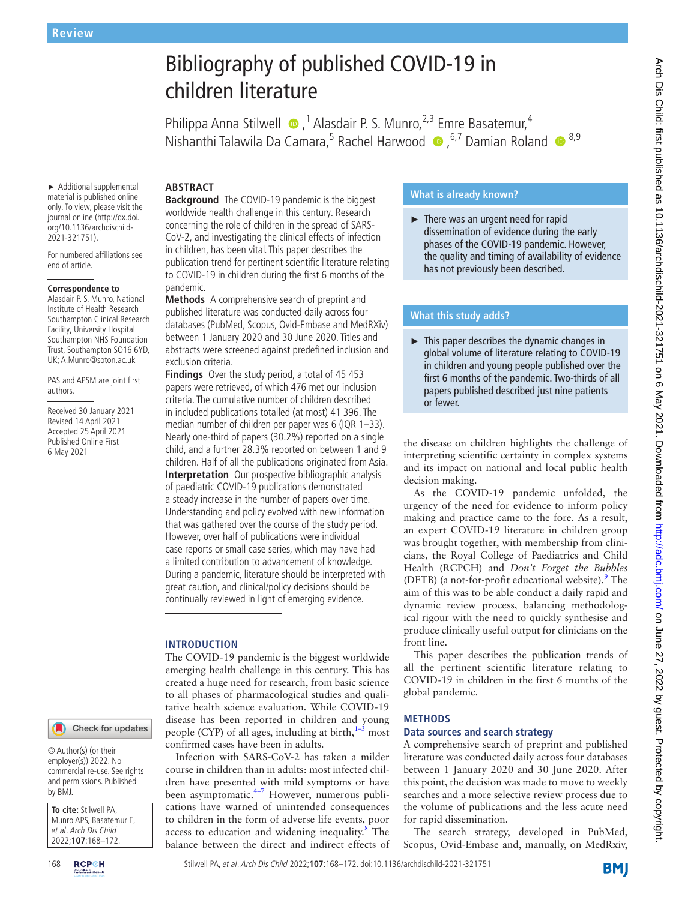# Bibliography of published COVID-19 in children literature

Philippa Anna Stilwell  $\bullet$ ,<sup>1</sup> Alasdair P. S. Munro,<sup>2,3</sup> Emre Basatemur,<sup>4</sup> NishanthiTalawila Da Camara,<sup>5</sup> Rachel Harwood (D, <sup>6,7</sup> Damian Roland (D, 8,9)

► Additional supplemental material is published online only. To view, please visit the journal online (http://dx.doi. org/10.1136/archdischild-2021-321751).

For numbered affiliations see end of article.

#### **Correspondence to**

Alasdair P. S. Munro, National Institute of Health Research Southampton Clinical Research Facility, University Hospital Southampton NHS Foundation Trust, Southampton SO16 6YD, UK; A.Munro@soton.ac.uk

PAS and APSM are joint first authors.

Received 30 January 2021 Revised 14 April 2021 Accepted 25 April 2021 Published Online First 6 May 2021

#### Check for updates

© Author(s) (or their employer(s)) 2022. No commercial re-use. See rights and permissions. Published by BMJ.

**To cite:** Stilwell PA, Munro APS, Basatemur E, et al. Arch Dis Child 2022;**107**:168–172.

**ABSTRACT Background** The COVID-19 pandemic is the biggest worldwide health challenge in this century. Research concerning the role of children in the spread of SARS-CoV-2, and investigating the clinical effects of infection in children, has been vital. This paper describes the publication trend for pertinent scientific literature relating to COVID-19 in children during the first 6 months of the pandemic.

**Methods** A comprehensive search of preprint and published literature was conducted daily across four databases (PubMed, Scopus, Ovid-Embase and MedRXiv) between 1 January 2020 and 30 June 2020. Titles and abstracts were screened against predefined inclusion and exclusion criteria.

**Findings** Over the study period, a total of 45 453 papers were retrieved, of which 476 met our inclusion criteria. The cumulative number of children described in included publications totalled (at most) 41 396. The median number of children per paper was 6 (IQR 1–33). Nearly one-third of papers (30.2%) reported on a single child, and a further 28.3% reported on between 1 and 9 children. Half of all the publications originated from Asia. **Interpretation** Our prospective bibliographic analysis of paediatric COVID-19 publications demonstrated a steady increase in the number of papers over time. Understanding and policy evolved with new information that was gathered over the course of the study period. However, over half of publications were individual case reports or small case series, which may have had a limited contribution to advancement of knowledge. During a pandemic, literature should be interpreted with great caution, and clinical/policy decisions should be continually reviewed in light of emerging evidence.

## **INTRODUCTION**

The COVID-19 pandemic is the biggest worldwide emerging health challenge in this century. This has created a huge need for research, from basic science to all phases of pharmacological studies and qualitative health science evaluation. While COVID-19 disease has been reported in children and young people (CYP) of all ages, including at birth, $1-3$  most confirmed cases have been in adults.

Infection with SARS-CoV-2 has taken a milder course in children than in adults: most infected children have presented with mild symptoms or have been asymptomatic.<sup>[4–7](#page-4-1)</sup> However, numerous publications have warned of unintended consequences to children in the form of adverse life events, poor access to education and widening inequality.<sup>8</sup> The balance between the direct and indirect effects of

# **What is already known?**

► There was an urgent need for rapid dissemination of evidence during the early phases of the COVID-19 pandemic. However, the quality and timing of availability of evidence has not previously been described.

## **What this study adds?**

► This paper describes the dynamic changes in global volume of literature relating to COVID-19 in children and young people published over the first 6 months of the pandemic. Two-thirds of all papers published described just nine patients or fewer.

the disease on children highlights the challenge of interpreting scientific certainty in complex systems and its impact on national and local public health decision making.

As the COVID-19 pandemic unfolded, the urgency of the need for evidence to inform policy making and practice came to the fore. As a result, an expert COVID-19 literature in children group was brought together, with membership from clinicians, the Royal College of Paediatrics and Child Health (RCPCH) and *Don't Forget the Bubbles* (DFTB) (a not-for-profit educational website).<sup>[9](#page-4-3)</sup> The aim of this was to be able conduct a daily rapid and dynamic review process, balancing methodological rigour with the need to quickly synthesise and produce clinically useful output for clinicians on the front line.

This paper describes the publication trends of all the pertinent scientific literature relating to COVID-19 in children in the first 6 months of the global pandemic.

### **METHODS**

## **Data sources and search strategy**

A comprehensive search of preprint and published literature was conducted daily across four databases between 1 January 2020 and 30 June 2020. After this point, the decision was made to move to weekly searches and a more selective review process due to the volume of publications and the less acute need for rapid dissemination.

The search strategy, developed in PubMed, Scopus, Ovid-Embase and, manually, on MedRxiv,

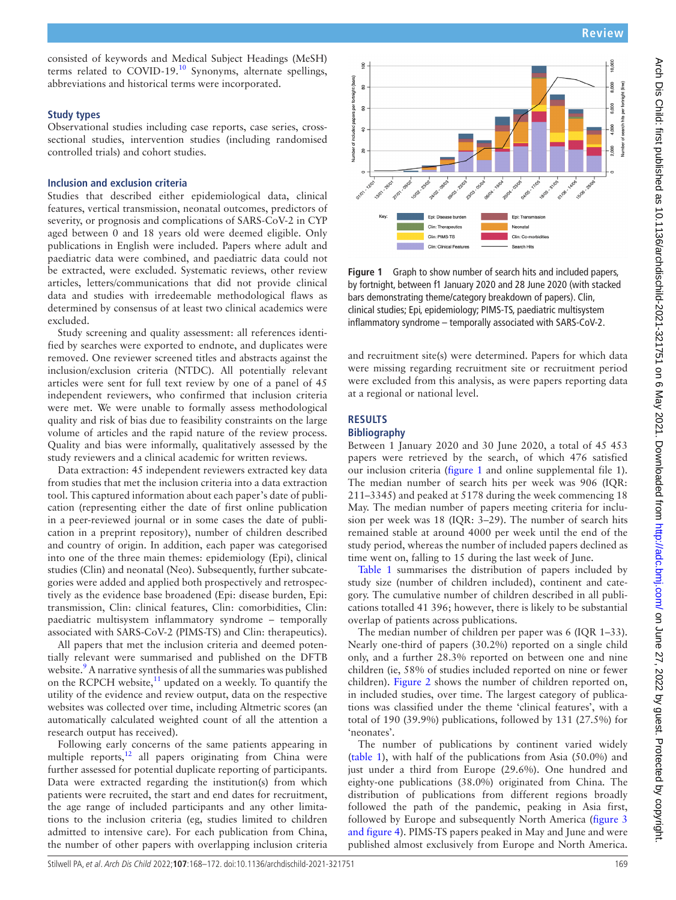consisted of keywords and Medical Subject Headings (MeSH) terms related to COVID-19.[10](#page-4-4) Synonyms, alternate spellings, abbreviations and historical terms were incorporated.

## **Study types**

Observational studies including case reports, case series, crosssectional studies, intervention studies (including randomised controlled trials) and cohort studies.

## **Inclusion and exclusion criteria**

Studies that described either epidemiological data, clinical features, vertical transmission, neonatal outcomes, predictors of severity, or prognosis and complications of SARS-CoV-2 in CYP aged between 0 and 18 years old were deemed eligible. Only publications in English were included. Papers where adult and paediatric data were combined, and paediatric data could not be extracted, were excluded. Systematic reviews, other review articles, letters/communications that did not provide clinical data and studies with irredeemable methodological flaws as determined by consensus of at least two clinical academics were excluded.

Study screening and quality assessment: all references identified by searches were exported to endnote, and duplicates were removed. One reviewer screened titles and abstracts against the inclusion/exclusion criteria (NTDC). All potentially relevant articles were sent for full text review by one of a panel of 45 independent reviewers, who confirmed that inclusion criteria were met. We were unable to formally assess methodological quality and risk of bias due to feasibility constraints on the large volume of articles and the rapid nature of the review process. Quality and bias were informally, qualitatively assessed by the study reviewers and a clinical academic for written reviews.

Data extraction: 45 independent reviewers extracted key data from studies that met the inclusion criteria into a data extraction tool. This captured information about each paper's date of publication (representing either the date of first online publication in a peer-reviewed journal or in some cases the date of publication in a preprint repository), number of children described and country of origin. In addition, each paper was categorised into one of the three main themes: epidemiology (Epi), clinical studies (Clin) and neonatal (Neo). Subsequently, further subcategories were added and applied both prospectively and retrospectively as the evidence base broadened (Epi: disease burden, Epi: transmission, Clin: clinical features, Clin: comorbidities, Clin: paediatric multisystem inflammatory syndrome – temporally associated with SARS-CoV-2 (PIMS-TS) and Clin: therapeutics).

All papers that met the inclusion criteria and deemed potentially relevant were summarised and published on the DFTB website.<sup>9</sup> A narrative synthesis of all the summaries was published on the RCPCH website, $11$  updated on a weekly. To quantify the utility of the evidence and review output, data on the respective websites was collected over time, including Altmetric scores (an automatically calculated weighted count of all the attention a research output has received).

Following early concerns of the same patients appearing in multiple reports, $12$  all papers originating from China were further assessed for potential duplicate reporting of participants. Data were extracted regarding the institution(s) from which patients were recruited, the start and end dates for recruitment, the age range of included participants and any other limitations to the inclusion criteria (eg, studies limited to children admitted to intensive care). For each publication from China, the number of other papers with overlapping inclusion criteria



<span id="page-1-0"></span>**Figure 1** Graph to show number of search hits and included papers, by fortnight, between f1 January 2020 and 28 June 2020 (with stacked bars demonstrating theme/category breakdown of papers). Clin, clinical studies; Epi, epidemiology; PIMS-TS, paediatric multisystem inflammatory syndrome – temporally associated with SARS-CoV-2.

and recruitment site(s) were determined. Papers for which data were missing regarding recruitment site or recruitment period were excluded from this analysis, as were papers reporting data at a regional or national level.

# **RESULTS**

# **Bibliography**

Between 1 January 2020 and 30 June 2020, a total of 45 453 papers were retrieved by the search, of which 476 satisfied our inclusion criteria ([figure](#page-1-0) 1 and [online supplemental file 1\)](https://dx.doi.org/10.1136/archdischild-2021-321751). The median number of search hits per week was 906 (IQR: 211–3345) and peaked at 5178 during the week commencing 18 May. The median number of papers meeting criteria for inclusion per week was 18 (IQR: 3–29). The number of search hits remained stable at around 4000 per week until the end of the study period, whereas the number of included papers declined as time went on, falling to 15 during the last week of June.

[Table](#page-2-0) 1 summarises the distribution of papers included by study size (number of children included), continent and category. The cumulative number of children described in all publications totalled 41 396; however, there is likely to be substantial overlap of patients across publications.

The median number of children per paper was 6 (IQR 1–33). Nearly one-third of papers (30.2%) reported on a single child only, and a further 28.3% reported on between one and nine children (ie, 58% of studies included reported on nine or fewer children). [Figure](#page-2-1) 2 shows the number of children reported on, in included studies, over time. The largest category of publications was classified under the theme 'clinical features', with a total of 190 (39.9%) publications, followed by 131 (27.5%) for 'neonates'.

The number of publications by continent varied widely ([table](#page-2-0) 1), with half of the publications from Asia (50.0%) and just under a third from Europe (29.6%). One hundred and eighty-one publications (38.0%) originated from China. The distribution of publications from different regions broadly followed the path of the pandemic, peaking in Asia first, followed by Europe and subsequently North America ([figure](#page-2-2) 3 [and figure 4\)](#page-2-2). PIMS-TS papers peaked in May and June and were published almost exclusively from Europe and North America.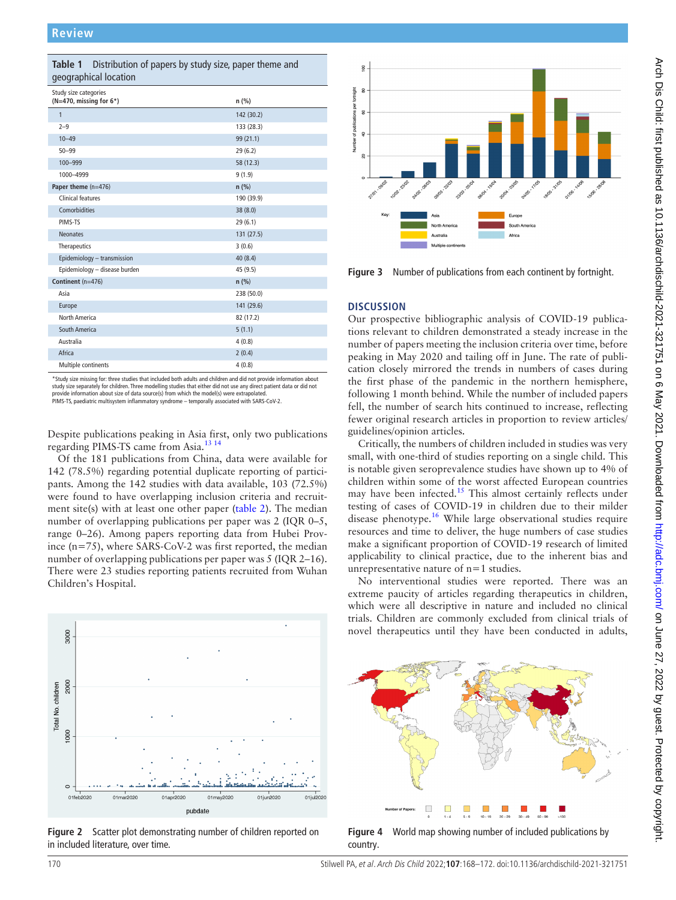<span id="page-2-0"></span>

| Distribution of papers by study size, paper theme and<br>Table 1<br>geographical location |            |  |
|-------------------------------------------------------------------------------------------|------------|--|
| Study size categories<br>( $N=470$ , missing for $6*$ )                                   | n (%)      |  |
| $\mathbf{1}$                                                                              | 142 (30.2) |  |
| $2 - 9$                                                                                   | 133 (28.3) |  |
| $10 - 49$                                                                                 | 99 (21.1)  |  |
| $50 - 99$                                                                                 | 29(6.2)    |  |
| 100-999                                                                                   | 58 (12.3)  |  |
| 1000-4999                                                                                 | 9(1.9)     |  |
| Paper theme (n=476)                                                                       | $n$ (%)    |  |
| Clinical features                                                                         | 190 (39.9) |  |
| Comorbidities                                                                             | 38 (8.0)   |  |
| PIMS-TS                                                                                   | 29(6.1)    |  |
| <b>Neonates</b>                                                                           | 131 (27.5) |  |
| Therapeutics                                                                              | 3(0.6)     |  |
| Epidemiology - transmission                                                               | 40(8.4)    |  |
| Epidemiology - disease burden                                                             | 45 (9.5)   |  |
| Continent (n=476)                                                                         | n(%)       |  |
| Asia                                                                                      | 238 (50.0) |  |
| Europe                                                                                    | 141 (29.6) |  |
| North America                                                                             | 82 (17.2)  |  |
| South America                                                                             | 5(1.1)     |  |
| Australia                                                                                 | 4(0.8)     |  |
| Africa                                                                                    | 2(0.4)     |  |
| Multiple continents                                                                       | 4(0.8)     |  |

\*Study size missing for: three studies that included both adults and children and did not provide information about study size separately for children. Three modelling studies that either did not use any direct patient data or did not<br>provide information about size of data source(s) from which the model(s) were extrapolated.

PIMS-TS, paediatric multisystem inflammatory syndrome – temporally associated with SARS-CoV-2.

Despite publications peaking in Asia first, only two publications regarding PIMS-TS came from Asia[.13 14](#page-4-7)

Of the 181 publications from China, data were available for 142 (78.5%) regarding potential duplicate reporting of participants. Among the 142 studies with data available, 103 (72.5%) were found to have overlapping inclusion criteria and recruitment site(s) with at least one other paper ([table](#page-3-0) 2). The median number of overlapping publications per paper was 2 (IQR 0–5, range 0–26). Among papers reporting data from Hubei Province (n=75), where SARS-CoV-2 was first reported, the median number of overlapping publications per paper was 5 (IQR 2–16). There were 23 studies reporting patients recruited from Wuhan Children's Hospital.



<span id="page-2-1"></span>**Figure 2** Scatter plot demonstrating number of children reported on in included literature, over time.



<span id="page-2-2"></span>**Figure 3** Number of publications from each continent by fortnight.

### **DISCUSSION**

Our prospective bibliographic analysis of COVID-19 publications relevant to children demonstrated a steady increase in the number of papers meeting the inclusion criteria over time, before peaking in May 2020 and tailing off in June. The rate of publication closely mirrored the trends in numbers of cases during the first phase of the pandemic in the northern hemisphere, following 1 month behind. While the number of included papers fell, the number of search hits continued to increase, reflecting fewer original research articles in proportion to review articles/ guidelines/opinion articles.

Critically, the numbers of children included in studies was very small, with one-third of studies reporting on a single child. This is notable given seroprevalence studies have shown up to 4% of children within some of the worst affected European countries may have been infected.<sup>[15](#page-4-8)</sup> This almost certainly reflects under testing of cases of COVID-19 in children due to their milder disease phenotype.<sup>[16](#page-4-9)</sup> While large observational studies require resources and time to deliver, the huge numbers of case studies make a significant proportion of COVID-19 research of limited applicability to clinical practice, due to the inherent bias and unrepresentative nature of n=1 studies.

No interventional studies were reported. There was an extreme paucity of articles regarding therapeutics in children, which were all descriptive in nature and included no clinical trials. Children are commonly excluded from clinical trials of novel therapeutics until they have been conducted in adults,

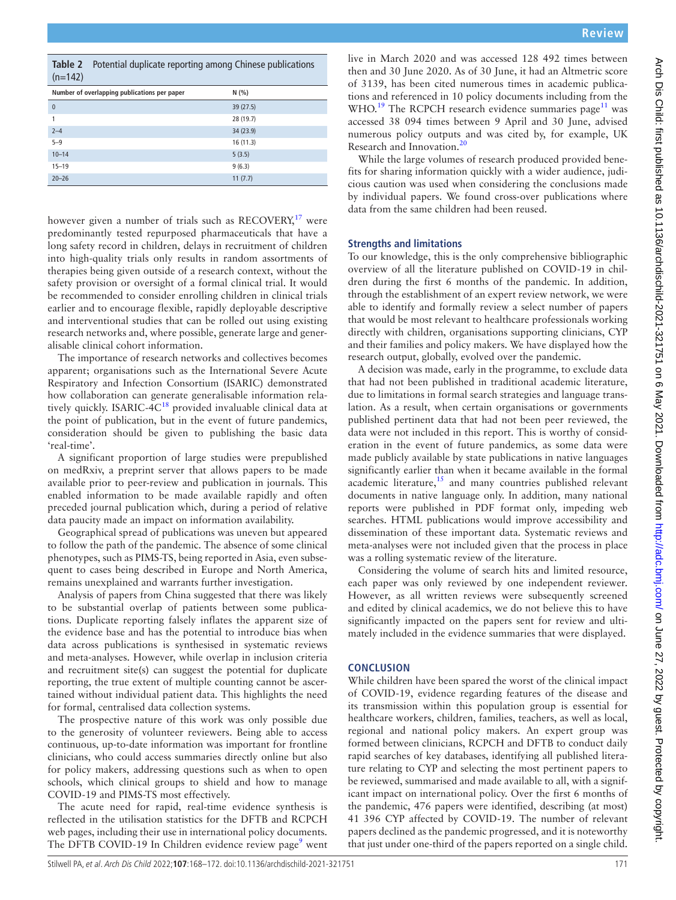Research and Innovation.<sup>[20](#page-4-13)</sup>

**Strengths and limitations**

data from the same children had been reused.

was a rolling systematic review of the literature. Considering the volume of search hits and limited resource, each paper was only reviewed by one independent reviewer. However, as all written reviews were subsequently screened and edited by clinical academics, we do not believe this to have significantly impacted on the papers sent for review and ultimately included in the evidence summaries that were displayed.

live in March 2020 and was accessed 128 492 times between then and 30 June 2020. As of 30 June, it had an Altmetric score of 3139, has been cited numerous times in academic publications and referenced in 10 policy documents including from the WHO.<sup>[19](#page-4-12)</sup> The RCPCH research evidence summaries page<sup>11</sup> was accessed 38 094 times between 9 April and 30 June, advised numerous policy outputs and was cited by, for example, UK

While the large volumes of research produced provided benefits for sharing information quickly with a wider audience, judicious caution was used when considering the conclusions made by individual papers. We found cross-over publications where

To our knowledge, this is the only comprehensive bibliographic overview of all the literature published on COVID-19 in children during the first 6 months of the pandemic. In addition, through the establishment of an expert review network, we were able to identify and formally review a select number of papers that would be most relevant to healthcare professionals working directly with children, organisations supporting clinicians, CYP and their families and policy makers. We have displayed how the

A decision was made, early in the programme, to exclude data that had not been published in traditional academic literature, due to limitations in formal search strategies and language translation. As a result, when certain organisations or governments published pertinent data that had not been peer reviewed, the data were not included in this report. This is worthy of consideration in the event of future pandemics, as some data were made publicly available by state publications in native languages significantly earlier than when it became available in the formal academic literature, $15$  and many countries published relevant documents in native language only. In addition, many national reports were published in PDF format only, impeding web searches. HTML publications would improve accessibility and dissemination of these important data. Systematic reviews and meta-analyses were not included given that the process in place

research output, globally, evolved over the pandemic.

#### **CONCLUSION**

While children have been spared the worst of the clinical impact of COVID-19, evidence regarding features of the disease and its transmission within this population group is essential for healthcare workers, children, families, teachers, as well as local, regional and national policy makers. An expert group was formed between clinicians, RCPCH and DFTB to conduct daily rapid searches of key databases, identifying all published literature relating to CYP and selecting the most pertinent papers to be reviewed, summarised and made available to all, with a significant impact on international policy. Over the first 6 months of the pandemic, 476 papers were identified, describing (at most) 41 396 CYP affected by COVID-19. The number of relevant papers declined as the pandemic progressed, and it is noteworthy that just under one-third of the papers reported on a single child.

Stilwell PA, et al. Arch Dis Child 2022;**107**:168–172. doi:10.1136/archdischild-2021-321751 171

<span id="page-3-0"></span>

|         | Table 2 Potential duplicate reporting among Chinese publications |
|---------|------------------------------------------------------------------|
| (n=142) |                                                                  |

| Number of overlapping publications per paper | N(% )     |
|----------------------------------------------|-----------|
| $\mathbf{0}$                                 | 39 (27.5) |
| 1                                            | 28 (19.7) |
| $2 - 4$                                      | 34 (23.9) |
| $5 - 9$                                      | 16(11.3)  |
| $10 - 14$                                    | 5(3.5)    |
| $15 - 19$                                    | 9(6.3)    |
| $20 - 26$                                    | 11(7.7)   |

however given a number of trials such as  $RECOVERY<sub>1</sub><sup>17</sup>$  $RECOVERY<sub>1</sub><sup>17</sup>$  $RECOVERY<sub>1</sub><sup>17</sup>$  were predominantly tested repurposed pharmaceuticals that have a long safety record in children, delays in recruitment of children into high-quality trials only results in random assortments of therapies being given outside of a research context, without the safety provision or oversight of a formal clinical trial. It would be recommended to consider enrolling children in clinical trials earlier and to encourage flexible, rapidly deployable descriptive and interventional studies that can be rolled out using existing research networks and, where possible, generate large and generalisable clinical cohort information.

The importance of research networks and collectives becomes apparent; organisations such as the International Severe Acute Respiratory and Infection Consortium (ISARIC) demonstrated how collaboration can generate generalisable information rela-tively quickly. ISARIC-4C<sup>[18](#page-4-11)</sup> provided invaluable clinical data at the point of publication, but in the event of future pandemics, consideration should be given to publishing the basic data 'real-time'.

A significant proportion of large studies were prepublished on medRxiv, a preprint server that allows papers to be made available prior to peer-review and publication in journals. This enabled information to be made available rapidly and often preceded journal publication which, during a period of relative data paucity made an impact on information availability.

Geographical spread of publications was uneven but appeared to follow the path of the pandemic. The absence of some clinical phenotypes, such as PIMS-TS, being reported in Asia, even subsequent to cases being described in Europe and North America, remains unexplained and warrants further investigation.

Analysis of papers from China suggested that there was likely to be substantial overlap of patients between some publications. Duplicate reporting falsely inflates the apparent size of the evidence base and has the potential to introduce bias when data across publications is synthesised in systematic reviews and meta-analyses. However, while overlap in inclusion criteria and recruitment site(s) can suggest the potential for duplicate reporting, the true extent of multiple counting cannot be ascertained without individual patient data. This highlights the need for formal, centralised data collection systems.

The prospective nature of this work was only possible due to the generosity of volunteer reviewers. Being able to access continuous, up-to-date information was important for frontline clinicians, who could access summaries directly online but also for policy makers, addressing questions such as when to open schools, which clinical groups to shield and how to manage COVID-19 and PIMS-TS most effectively.

The acute need for rapid, real-time evidence synthesis is reflected in the utilisation statistics for the DFTB and RCPCH web pages, including their use in international policy documents. The DFTB COVID-1[9](#page-4-3) In Children evidence review page<sup>9</sup> went